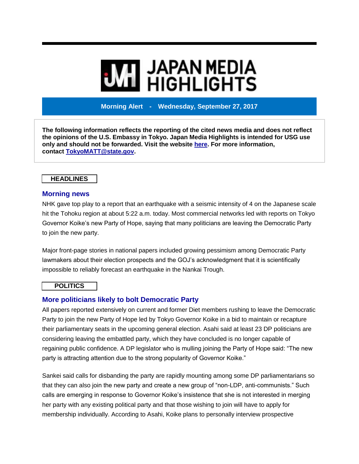# **MI JAPAN MEDIA<br>MI HIGHLIGHTS**

**Morning Alert - Wednesday, September 27, 2017**

**The following information reflects the reporting of the cited news media and does not reflect the opinions of the U.S. Embassy in Tokyo. Japan Media Highlights is intended for USG use only and should not be forwarded. Visit the website [here.](https://jmh.usembassy.gov/) For more information, contact [TokyoMATT@state.gov.](mailto:TokyoMATT@state.gov)**

#### **HEADLINES**

#### **Morning news**

NHK gave top play to a report that an earthquake with a seismic intensity of 4 on the Japanese scale hit the Tohoku region at about 5:22 a.m. today. Most commercial networks led with reports on Tokyo Governor Koike's new Party of Hope, saying that many politicians are leaving the Democratic Party to join the new party.

Major front-page stories in national papers included growing pessimism among Democratic Party lawmakers about their election prospects and the GOJ's acknowledgment that it is scientifically impossible to reliably forecast an earthquake in the Nankai Trough.

#### **POLITICS**

## **More politicians likely to bolt Democratic Party**

All papers reported extensively on current and former Diet members rushing to leave the Democratic Party to join the new Party of Hope led by Tokyo Governor Koike in a bid to maintain or recapture their parliamentary seats in the upcoming general election. Asahi said at least 23 DP politicians are considering leaving the embattled party, which they have concluded is no longer capable of regaining public confidence. A DP legislator who is mulling joining the Party of Hope said: "The new party is attracting attention due to the strong popularity of Governor Koike."

Sankei said calls for disbanding the party are rapidly mounting among some DP parliamentarians so that they can also join the new party and create a new group of "non-LDP, anti-communists." Such calls are emerging in response to Governor Koike's insistence that she is not interested in merging her party with any existing political party and that those wishing to join will have to apply for membership individually. According to Asahi, Koike plans to personally interview prospective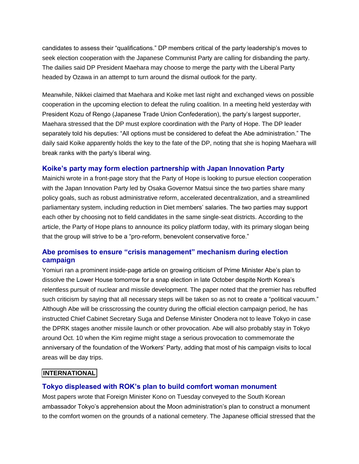candidates to assess their "qualifications." DP members critical of the party leadership's moves to seek election cooperation with the Japanese Communist Party are calling for disbanding the party. The dailies said DP President Maehara may choose to merge the party with the Liberal Party headed by Ozawa in an attempt to turn around the dismal outlook for the party.

Meanwhile, Nikkei claimed that Maehara and Koike met last night and exchanged views on possible cooperation in the upcoming election to defeat the ruling coalition. In a meeting held yesterday with President Kozu of Rengo (Japanese Trade Union Confederation), the party's largest supporter, Maehara stressed that the DP must explore coordination with the Party of Hope. The DP leader separately told his deputies: "All options must be considered to defeat the Abe administration." The daily said Koike apparently holds the key to the fate of the DP, noting that she is hoping Maehara will break ranks with the party's liberal wing.

## **Koike's party may form election partnership with Japan Innovation Party**

Mainichi wrote in a front-page story that the Party of Hope is looking to pursue election cooperation with the Japan Innovation Party led by Osaka Governor Matsui since the two parties share many policy goals, such as robust administrative reform, accelerated decentralization, and a streamlined parliamentary system, including reduction in Diet members' salaries. The two parties may support each other by choosing not to field candidates in the same single-seat districts. According to the article, the Party of Hope plans to announce its policy platform today, with its primary slogan being that the group will strive to be a "pro-reform, benevolent conservative force."

# **Abe promises to ensure "crisis management" mechanism during election campaign**

Yomiuri ran a prominent inside-page article on growing criticism of Prime Minister Abe's plan to dissolve the Lower House tomorrow for a snap election in late October despite North Korea's relentless pursuit of nuclear and missile development. The paper noted that the premier has rebuffed such criticism by saying that all necessary steps will be taken so as not to create a "political vacuum." Although Abe will be crisscrossing the country during the official election campaign period, he has instructed Chief Cabinet Secretary Suga and Defense Minister Onodera not to leave Tokyo in case the DPRK stages another missile launch or other provocation. Abe will also probably stay in Tokyo around Oct. 10 when the Kim regime might stage a serious provocation to commemorate the anniversary of the foundation of the Workers' Party, adding that most of his campaign visits to local areas will be day trips.

## **INTERNATIONAL**

## **Tokyo displeased with ROK's plan to build comfort woman monument**

Most papers wrote that Foreign Minister Kono on Tuesday conveyed to the South Korean ambassador Tokyo's apprehension about the Moon administration's plan to construct a monument to the comfort women on the grounds of a national cemetery. The Japanese official stressed that the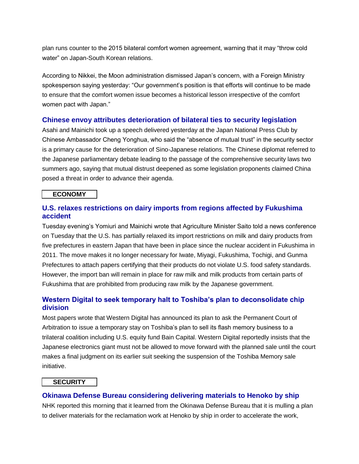plan runs counter to the 2015 bilateral comfort women agreement, warning that it may "throw cold water" on Japan-South Korean relations.

According to Nikkei, the Moon administration dismissed Japan's concern, with a Foreign Ministry spokesperson saying yesterday: "Our government's position is that efforts will continue to be made to ensure that the comfort women issue becomes a historical lesson irrespective of the comfort women pact with Japan."

#### **Chinese envoy attributes deterioration of bilateral ties to security legislation**

Asahi and Mainichi took up a speech delivered yesterday at the Japan National Press Club by Chinese Ambassador Cheng Yonghua, who said the "absence of mutual trust" in the security sector is a primary cause for the deterioration of Sino-Japanese relations. The Chinese diplomat referred to the Japanese parliamentary debate leading to the passage of the comprehensive security laws two summers ago, saying that mutual distrust deepened as some legislation proponents claimed China posed a threat in order to advance their agenda.

#### **ECONOMY**

#### **U.S. relaxes restrictions on dairy imports from regions affected by Fukushima accident**

Tuesday evening's Yomiuri and Mainichi wrote that Agriculture Minister Saito told a news conference on Tuesday that the U.S. has partially relaxed its import restrictions on milk and dairy products from five prefectures in eastern Japan that have been in place since the nuclear accident in Fukushima in 2011. The move makes it no longer necessary for Iwate, Miyagi, Fukushima, Tochigi, and Gunma Prefectures to attach papers certifying that their products do not violate U.S. food safety standards. However, the import ban will remain in place for raw milk and milk products from certain parts of Fukushima that are prohibited from producing raw milk by the Japanese government.

## **Western Digital to seek temporary halt to Toshiba's plan to deconsolidate chip division**

Most papers wrote that Western Digital has announced its plan to ask the Permanent Court of Arbitration to issue a temporary stay on Toshiba's plan to sell its flash memory business to a trilateral coalition including U.S. equity fund Bain Capital. Western Digital reportedly insists that the Japanese electronics giant must not be allowed to move forward with the planned sale until the court makes a final judgment on its earlier suit seeking the suspension of the Toshiba Memory sale initiative.

#### **SECURITY**

#### **Okinawa Defense Bureau considering delivering materials to Henoko by ship**

NHK reported this morning that it learned from the Okinawa Defense Bureau that it is mulling a plan to deliver materials for the reclamation work at Henoko by ship in order to accelerate the work,